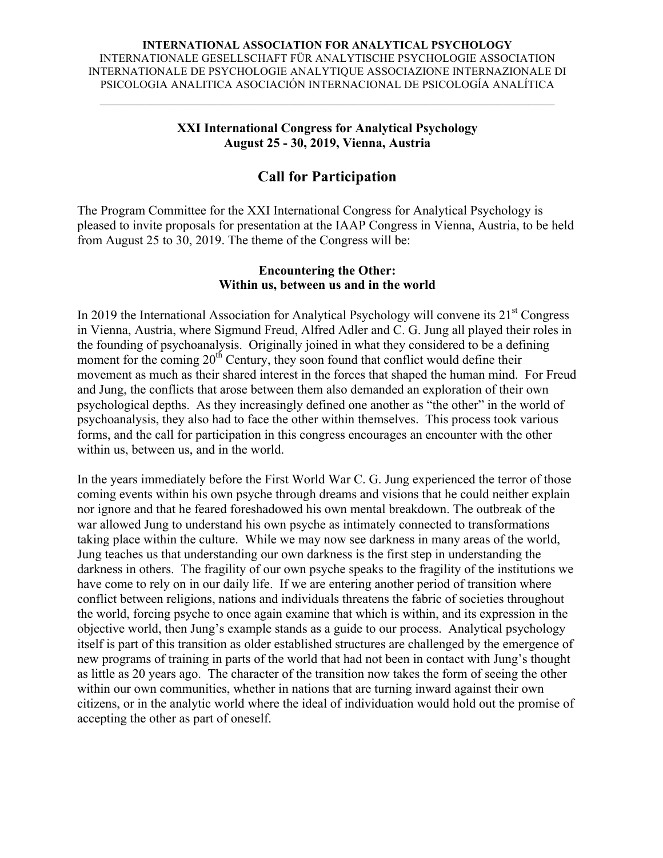#### **INTERNATIONAL ASSOCIATION FOR ANALYTICAL PSYCHOLOGY** INTERNATIONALE GESELLSCHAFT FÜR ANALYTISCHE PSYCHOLOGIE ASSOCIATION INTERNATIONALE DE PSYCHOLOGIE ANALYTIQUE ASSOCIAZIONE INTERNAZIONALE DI PSICOLOGIA ANALITICA ASOCIACIÓN INTERNACIONAL DE PSICOLOGÍA ANALÍTICA

 $\mathcal{L}_\text{max}$  and  $\mathcal{L}_\text{max}$  and  $\mathcal{L}_\text{max}$  and  $\mathcal{L}_\text{max}$  and  $\mathcal{L}_\text{max}$  and  $\mathcal{L}_\text{max}$ 

#### **XXI International Congress for Analytical Psychology August 25 - 30, 2019, Vienna, Austria**

# **Call for Participation**

The Program Committee for the XXI International Congress for Analytical Psychology is pleased to invite proposals for presentation at the IAAP Congress in Vienna, Austria, to be held from August 25 to 30, 2019. The theme of the Congress will be:

### **Encountering the Other: Within us, between us and in the world**

In 2019 the International Association for Analytical Psychology will convene its  $21<sup>st</sup>$  Congress in Vienna, Austria, where Sigmund Freud, Alfred Adler and C. G. Jung all played their roles in the founding of psychoanalysis. Originally joined in what they considered to be a defining moment for the coming  $20<sup>th</sup>$  Century, they soon found that conflict would define their movement as much as their shared interest in the forces that shaped the human mind. For Freud and Jung, the conflicts that arose between them also demanded an exploration of their own psychological depths. As they increasingly defined one another as "the other" in the world of psychoanalysis, they also had to face the other within themselves. This process took various forms, and the call for participation in this congress encourages an encounter with the other within us, between us, and in the world.

In the years immediately before the First World War C. G. Jung experienced the terror of those coming events within his own psyche through dreams and visions that he could neither explain nor ignore and that he feared foreshadowed his own mental breakdown. The outbreak of the war allowed Jung to understand his own psyche as intimately connected to transformations taking place within the culture. While we may now see darkness in many areas of the world, Jung teaches us that understanding our own darkness is the first step in understanding the darkness in others. The fragility of our own psyche speaks to the fragility of the institutions we have come to rely on in our daily life. If we are entering another period of transition where conflict between religions, nations and individuals threatens the fabric of societies throughout the world, forcing psyche to once again examine that which is within, and its expression in the objective world, then Jung's example stands as a guide to our process. Analytical psychology itself is part of this transition as older established structures are challenged by the emergence of new programs of training in parts of the world that had not been in contact with Jung's thought as little as 20 years ago. The character of the transition now takes the form of seeing the other within our own communities, whether in nations that are turning inward against their own citizens, or in the analytic world where the ideal of individuation would hold out the promise of accepting the other as part of oneself.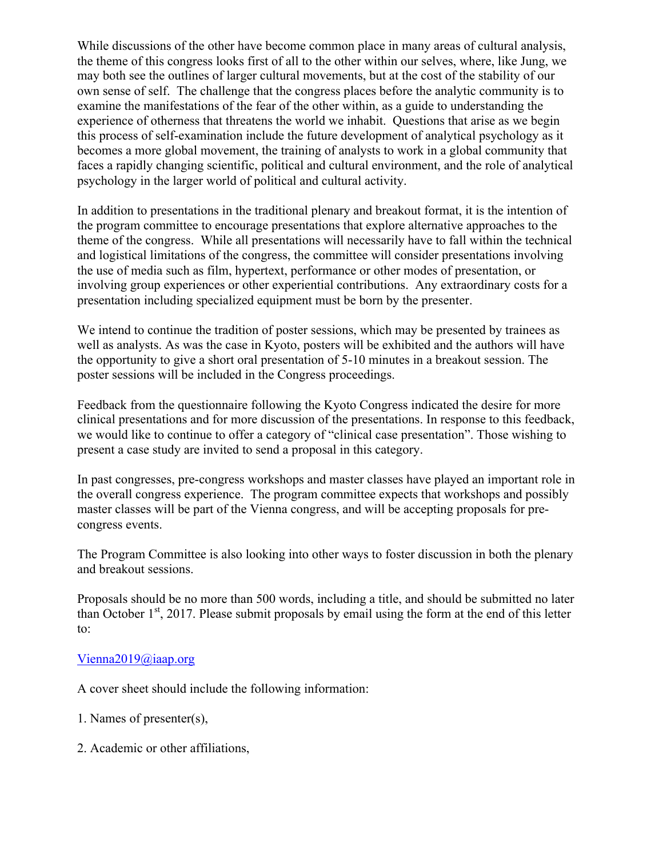While discussions of the other have become common place in many areas of cultural analysis, the theme of this congress looks first of all to the other within our selves, where, like Jung, we may both see the outlines of larger cultural movements, but at the cost of the stability of our own sense of self. The challenge that the congress places before the analytic community is to examine the manifestations of the fear of the other within, as a guide to understanding the experience of otherness that threatens the world we inhabit. Questions that arise as we begin this process of self-examination include the future development of analytical psychology as it becomes a more global movement, the training of analysts to work in a global community that faces a rapidly changing scientific, political and cultural environment, and the role of analytical psychology in the larger world of political and cultural activity.

In addition to presentations in the traditional plenary and breakout format, it is the intention of the program committee to encourage presentations that explore alternative approaches to the theme of the congress. While all presentations will necessarily have to fall within the technical and logistical limitations of the congress, the committee will consider presentations involving the use of media such as film, hypertext, performance or other modes of presentation, or involving group experiences or other experiential contributions. Any extraordinary costs for a presentation including specialized equipment must be born by the presenter.

We intend to continue the tradition of poster sessions, which may be presented by trainees as well as analysts. As was the case in Kyoto, posters will be exhibited and the authors will have the opportunity to give a short oral presentation of 5-10 minutes in a breakout session. The poster sessions will be included in the Congress proceedings.

Feedback from the questionnaire following the Kyoto Congress indicated the desire for more clinical presentations and for more discussion of the presentations. In response to this feedback, we would like to continue to offer a category of "clinical case presentation". Those wishing to present a case study are invited to send a proposal in this category.

In past congresses, pre-congress workshops and master classes have played an important role in the overall congress experience. The program committee expects that workshops and possibly master classes will be part of the Vienna congress, and will be accepting proposals for precongress events.

The Program Committee is also looking into other ways to foster discussion in both the plenary and breakout sessions.

Proposals should be no more than 500 words, including a title, and should be submitted no later than October  $1<sup>st</sup>$ , 2017. Please submit proposals by email using the form at the end of this letter to:

#### Vienna2019@iaap.org

A cover sheet should include the following information:

- 1. Names of presenter(s),
- 2. Academic or other affiliations,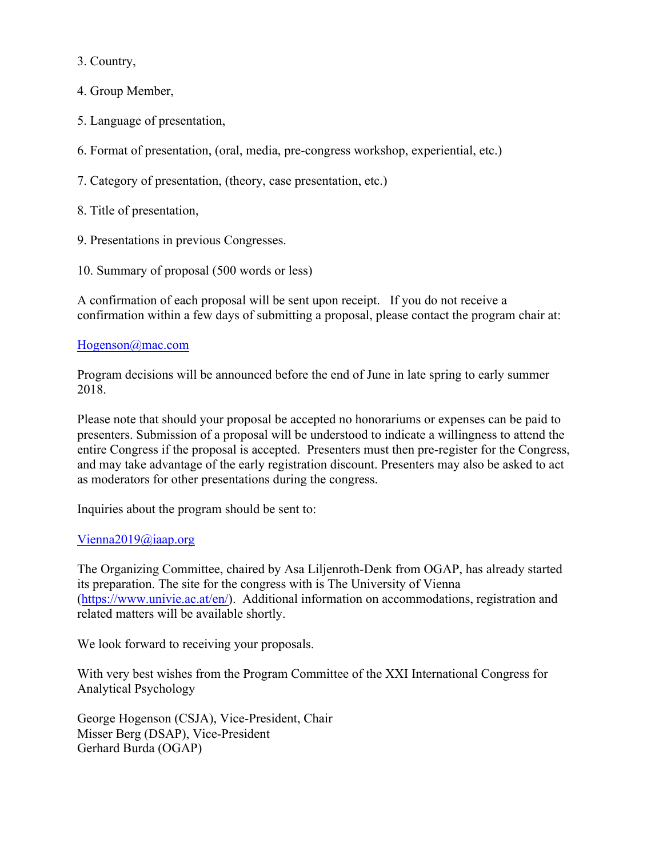3. Country,

4. Group Member,

- 5. Language of presentation,
- 6. Format of presentation, (oral, media, pre-congress workshop, experiential, etc.)
- 7. Category of presentation, (theory, case presentation, etc.)
- 8. Title of presentation,
- 9. Presentations in previous Congresses.
- 10. Summary of proposal (500 words or less)

A confirmation of each proposal will be sent upon receipt. If you do not receive a confirmation within a few days of submitting a proposal, please contact the program chair at:

### Hogenson@mac.com

Program decisions will be announced before the end of June in late spring to early summer 2018.

Please note that should your proposal be accepted no honorariums or expenses can be paid to presenters. Submission of a proposal will be understood to indicate a willingness to attend the entire Congress if the proposal is accepted. Presenters must then pre-register for the Congress, and may take advantage of the early registration discount. Presenters may also be asked to act as moderators for other presentations during the congress.

Inquiries about the program should be sent to:

## Vienna2019@iaap.org

The Organizing Committee, chaired by Asa Liljenroth-Denk from OGAP, has already started its preparation. The site for the congress with is The University of Vienna (https://www.univie.ac.at/en/). Additional information on accommodations, registration and related matters will be available shortly.

We look forward to receiving your proposals.

With very best wishes from the Program Committee of the XXI International Congress for Analytical Psychology

George Hogenson (CSJA), Vice-President, Chair Misser Berg (DSAP), Vice-President Gerhard Burda (OGAP)